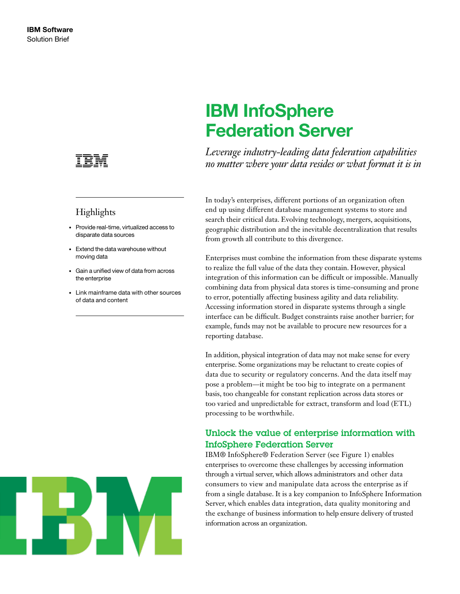

## Highlights

- • Provide real-time, virtualized access to disparate data sources
- Extend the data warehouse without moving data
- • Gain a unified view of data from across the enterprise
- • Link mainframe data with other sources of data and content



# IBM InfoSphere Federation Server

*Leverage industry-leading data federation capabilities no matter where your data resides or what format it is in* 

In today's enterprises, different portions of an organization often end up using different database management systems to store and search their critical data. Evolving technology, mergers, acquisitions, geographic distribution and the inevitable decentralization that results from growth all contribute to this divergence.

Enterprises must combine the information from these disparate systems to realize the full value of the data they contain. However, physical integration of this information can be difficult or impossible. Manually combining data from physical data stores is time-consuming and prone to error, potentially affecting business agility and data reliability. Accessing information stored in disparate systems through a single interface can be difficult. Budget constraints raise another barrier; for example, funds may not be available to procure new resources for a reporting database.

In addition, physical integration of data may not make sense for every enterprise. Some organizations may be reluctant to create copies of data due to security or regulatory concerns. And the data itself may pose a problem—it might be too big to integrate on a permanent basis, too changeable for constant replication across data stores or too varied and unpredictable for extract, transform and load (ETL) processing to be worthwhile.

### Unlock the value of enterprise information with InfoSphere Federation Server

IBM® InfoSphere® Federation Server (see Figure 1) enables enterprises to overcome these challenges by accessing information through a virtual server, which allows administrators and other data consumers to view and manipulate data across the enterprise as if from a single database. It is a key companion to InfoSphere Information Server, which enables data integration, data quality monitoring and the exchange of business information to help ensure delivery of trusted information across an organization.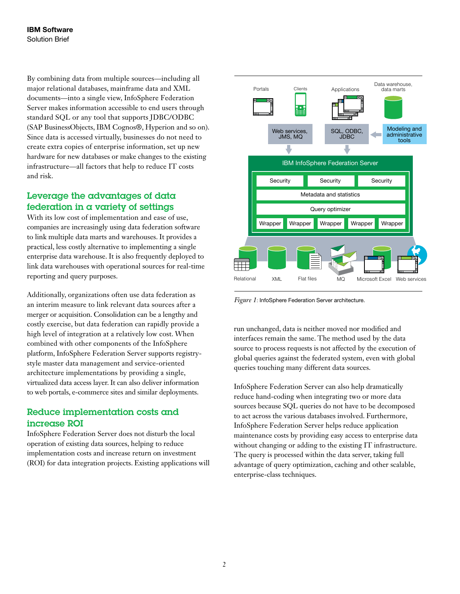By combining data from multiple sources—including all major relational databases, mainframe data and XML documents—into a single view, InfoSphere Federation Server makes information accessible to end users through standard SQL or any tool that supports JDBC/ODBC (SAP BusinessObjects, IBM Cognos®, Hyperion and so on). Since data is accessed virtually, businesses do not need to create extra copies of enterprise information, set up new hardware for new databases or make changes to the existing infrastructure—all factors that help to reduce IT costs and risk.

## Leverage the advantages of data federation in a variety of settings

With its low cost of implementation and ease of use, companies are increasingly using data federation software to link multiple data marts and warehouses. It provides a practical, less costly alternative to implementing a single enterprise data warehouse. It is also frequently deployed to link data warehouses with operational sources for real-time reporting and query purposes.

Additionally, organizations often use data federation as an interim measure to link relevant data sources after a merger or acquisition. Consolidation can be a lengthy and costly exercise, but data federation can rapidly provide a high level of integration at a relatively low cost. When combined with other components of the InfoSphere platform, InfoSphere Federation Server supports registrystyle master data management and service-oriented architecture implementations by providing a single, virtualized data access layer. It can also deliver information to web portals, e-commerce sites and similar deployments.

### Reduce implementation costs and increase ROI

InfoSphere Federation Server does not disturb the local operation of existing data sources, helping to reduce implementation costs and increase return on investment (ROI) for data integration projects. Existing applications will



*Figure 1*: InfoSphere Federation Server architecture.

run unchanged, data is neither moved nor modified and interfaces remain the same. The method used by the data source to process requests is not affected by the execution of global queries against the federated system, even with global queries touching many different data sources.

InfoSphere Federation Server can also help dramatically reduce hand-coding when integrating two or more data sources because SQL queries do not have to be decomposed to act across the various databases involved. Furthermore, InfoSphere Federation Server helps reduce application maintenance costs by providing easy access to enterprise data without changing or adding to the existing IT infrastructure. The query is processed within the data server, taking full advantage of query optimization, caching and other scalable, enterprise-class techniques.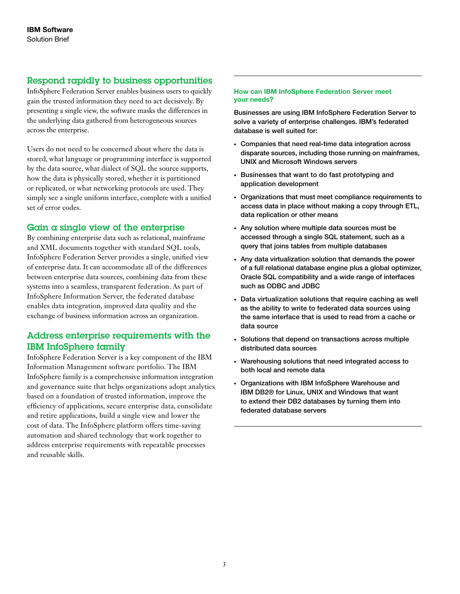#### Respond rapidly to business opportunities

InfoSphere Federation Server enables business users to quickly gain the trusted information they need to act decisively. By presenting a single view, the software masks the differences in the underlying data gathered from heterogeneous sources across the enterprise.

Users do not need to be concerned about where the data is stored, what language or programming interface is supported by the data source, what dialect of SQL the source supports, how the data is physically stored, whether it is partitioned or replicated, or what networking protocols are used. They simply see a single uniform interface, complete with a unified set of error codes.

#### Gain a single view of the enterprise

By combining enterprise data such as relational, mainframe and XML documents together with standard SQL tools, InfoSphere Federation Server provides a single, unified view of enterprise data. It can accommodate all of the differences between enterprise data sources, combining data from these systems into a seamless, transparent federation. As part of InfoSphere Information Server, the federated database enables data integration, improved data quality and the exchange of business information across an organization.

### Address enterprise requirements with the IBM InfoSphere family

InfoSphere Federation Server is a key component of the IBM Information Management software portfolio. The IBM InfoSphere family is a comprehensive information integration and governance suite that helps organizations adopt analytics based on a foundation of trusted information, improve the efficiency of applications, secure enterprise data, consolidate and retire applications, build a single view and lower the cost of data. The InfoSphere platform offers time-saving automation and shared technology that work together to address enterprise requirements with repeatable processes and reusable skills.

#### How can IBM InfoSphere Federation Server meet your needs?

Businesses are using IBM InfoSphere Federation Server to solve a variety of enterprise challenges. IBM's federated database is well suited for:

- • Companies that need real-time data integration across disparate sources, including those running on mainframes, UNIX and Microsoft Windows servers
- Businesses that want to do fast prototyping and application development
- • Organizations that must meet compliance requirements to access data in place without making a copy through ETL, data replication or other means
- Any solution where multiple data sources must be accessed through a single SQL statement, such as a query that joins tables from multiple databases
- • Any data virtualization solution that demands the power of a full relational database engine plus a global optimizer, Oracle SQL compatibility and a wide range of interfaces such as ODBC and JDBC
- Data virtualization solutions that require caching as well as the ability to write to federated data sources using the same interface that is used to read from a cache or data source
- • Solutions that depend on transactions across multiple distributed data sources
- • Warehousing solutions that need integrated access to both local and remote data
- • Organizations with IBM InfoSphere Warehouse and IBM DB2® for Linux, UNIX and Windows that want to extend their DB2 databases by turning them into federated database servers